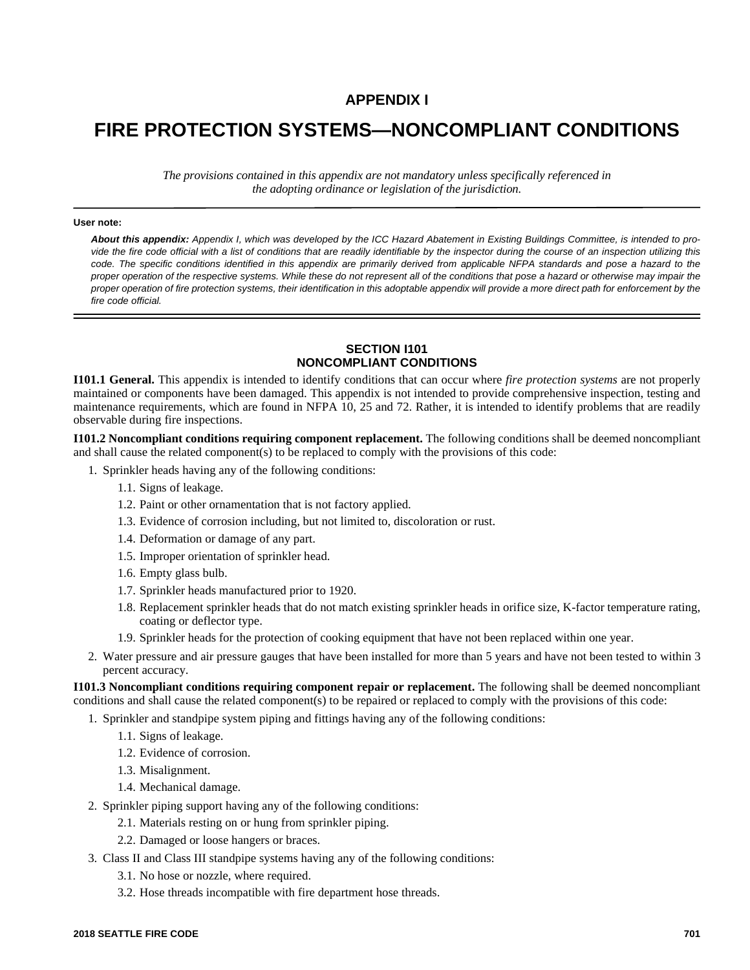## **APPENDIX I**

# **FIRE PROTECTION SYSTEMS—NONCOMPLIANT CONDITIONS**

*The provisions contained in this appendix are not mandatory unless specifically referenced in the adopting ordinance or legislation of the jurisdiction.*

#### **User note:**

*About this appendix: Appendix I, which was developed by the ICC Hazard Abatement in Existing Buildings Committee, is intended to provide the fire code official with a list of conditions that are readily identifiable by the inspector during the course of an inspection utilizing this code. The specific conditions identified in this appendix are primarily derived from applicable NFPA standards and pose a hazard to the proper operation of the respective systems. While these do not represent all of the conditions that pose a hazard or otherwise may impair the proper operation of fire protection systems, their identification in this adoptable appendix will provide a more direct path for enforcement by the fire code official.*

### **SECTION I101 NONCOMPLIANT CONDITIONS**

**I101.1 General.** This appendix is intended to identify conditions that can occur where *fire protection systems* are not properly maintained or components have been damaged. This appendix is not intended to provide comprehensive inspection, testing and maintenance requirements, which are found in NFPA 10, 25 and 72. Rather, it is intended to identify problems that are readily observable during fire inspections.

**I101.2 Noncompliant conditions requiring component replacement.** The following conditions shall be deemed noncompliant and shall cause the related component(s) to be replaced to comply with the provisions of this code:

- 1. Sprinkler heads having any of the following conditions:
	- 1.1. Signs of leakage.
	- 1.2. Paint or other ornamentation that is not factory applied.
	- 1.3. Evidence of corrosion including, but not limited to, discoloration or rust.
	- 1.4. Deformation or damage of any part.
	- 1.5. Improper orientation of sprinkler head.
	- 1.6. Empty glass bulb.
	- 1.7. Sprinkler heads manufactured prior to 1920.
	- 1.8. Replacement sprinkler heads that do not match existing sprinkler heads in orifice size, K-factor temperature rating, coating or deflector type.
	- 1.9. Sprinkler heads for the protection of cooking equipment that have not been replaced within one year.
- 2. Water pressure and air pressure gauges that have been installed for more than 5 years and have not been tested to within 3 percent accuracy.

**I101.3 Noncompliant conditions requiring component repair or replacement.** The following shall be deemed noncompliant conditions and shall cause the related component(s) to be repaired or replaced to comply with the provisions of this code:

1. Sprinkler and standpipe system piping and fittings having any of the following conditions:

- 1.1. Signs of leakage.
- 1.2. Evidence of corrosion.
- 1.3. Misalignment.
- 1.4. Mechanical damage.
- 2. Sprinkler piping support having any of the following conditions:
	- 2.1. Materials resting on or hung from sprinkler piping.
	- 2.2. Damaged or loose hangers or braces.
- 3. Class II and Class III standpipe systems having any of the following conditions:
	- 3.1. No hose or nozzle, where required.
	- 3.2. Hose threads incompatible with fire department hose threads.